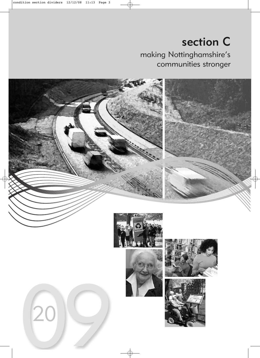# section C making Nottinghamshire's communities stronger

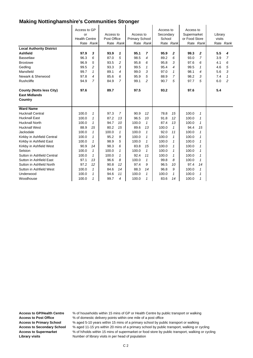| <b>Local Authority District</b><br><b>Ashfield</b><br><b>Bassetlaw</b><br><b>Broxtowe</b><br>Gedling<br>Mansfield<br>Newark & Sherwood<br>Rushcliffe                                                                                                                                                                                                                       | Access to GP<br>or<br><b>Health Centre</b><br>97.9<br>96.3<br>96.9<br>99.5<br>99.7<br>97.8<br>94.9                              | Rate Rank<br>3<br>6<br>5<br>$\overline{c}$<br>$\mathcal I$<br>4<br>7                                                                                                                                 | Access to<br>Post Office<br>93.9<br>87.0<br>93.5<br>93.3<br>89.1<br>85.6<br>84.9                                        | Rate Rank<br>1<br>5<br>2<br>3<br>4<br>6<br>$\overline{7}$                                                          | Access to<br><b>Primary School</b><br>95.1<br>98.5<br>95.8<br>99.5<br>99.0<br>95.9<br>99.1                                   | Rate Rank<br>7<br>4<br>6<br>$\mathbf{1}$<br>3<br>5<br>2                                                                                                    | Access to<br>Secondary<br>School<br>95.9<br>89.2<br>95.8<br>95.4<br>97.0<br>88.9<br>90.7                                    | Rate Rank<br>2<br>6<br>3<br>4<br>$\mathbf{1}$<br>$\overline{7}$<br>5                                                                                       | Access to<br>Supermarket<br>or Food Store<br>99.3<br>93.0<br>97.6<br>99.5<br>98.1<br>98.2<br>97.7                                 | Rate Rank<br>$\overline{2}$<br>$\overline{7}$<br>6<br>$\mathbf{1}$<br>4<br>3<br>5                                     | Library<br>visits<br>5.5<br>3.9<br>4.1<br>4.6<br>5.6<br>7.4<br>6.0 | Rate Rank<br>4<br>7<br>6<br>5<br>3<br>1<br>2 |
|----------------------------------------------------------------------------------------------------------------------------------------------------------------------------------------------------------------------------------------------------------------------------------------------------------------------------------------------------------------------------|---------------------------------------------------------------------------------------------------------------------------------|------------------------------------------------------------------------------------------------------------------------------------------------------------------------------------------------------|-------------------------------------------------------------------------------------------------------------------------|--------------------------------------------------------------------------------------------------------------------|------------------------------------------------------------------------------------------------------------------------------|------------------------------------------------------------------------------------------------------------------------------------------------------------|-----------------------------------------------------------------------------------------------------------------------------|------------------------------------------------------------------------------------------------------------------------------------------------------------|-----------------------------------------------------------------------------------------------------------------------------------|-----------------------------------------------------------------------------------------------------------------------|--------------------------------------------------------------------|----------------------------------------------|
| <b>County (Notts less City)</b><br><b>East Midlands</b><br>Country                                                                                                                                                                                                                                                                                                         | 97.6                                                                                                                            |                                                                                                                                                                                                      | 89.7                                                                                                                    |                                                                                                                    | 97.5                                                                                                                         |                                                                                                                                                            | 93.2                                                                                                                        |                                                                                                                                                            | 97.6                                                                                                                              |                                                                                                                       | 5.4                                                                |                                              |
| <b>Ward Name</b><br><b>Hucknall Central</b><br><b>Hucknall East</b><br><b>Hucknall North</b><br><b>Hucknall West</b><br>Jacksdale<br>Kirkby in Ashfield Central<br>Kirkby in Ashfield East<br>Kirkby in Ashfield West<br>Selston<br>Sutton in Ashfield Central<br>Sutton in Ashfield East<br>Sutton in Ashfield North<br>Sutton in Ashfield West<br>Underwood<br>Woodhouse | 100.0<br>100.0<br>100.0<br>88.9<br>100.0<br>100.0<br>100.0<br>90.9<br>100.0<br>100.0<br>97.1<br>97.2<br>100.0<br>100.0<br>100.0 | $\mathbf{1}$<br>$\mathbf{1}$<br>$\mathcal I$<br>15<br>$\mathcal I$<br>$\mathbf{1}$<br>$\mathbf{1}$<br>14<br>$\mathcal I$<br>$\mathbf{1}$<br>13<br>12<br>$\mathbf{1}$<br>$\mathcal I$<br>$\mathbf{1}$ | 97.3<br>87.2<br>94.7<br>80.2<br>100.0<br>95.2<br>98.9<br>98.3<br>100.0<br>100.0<br>96.6<br>90.8<br>84.6<br>94.6<br>99.7 | $\overline{7}$<br>13<br>10<br>15<br>$\mathbf{1}$<br>9<br>5<br>6<br>1<br>1<br>8<br>12<br>14<br>11<br>$\overline{4}$ | 90.9<br>96.5<br>100.0<br>89.6<br>100.0<br>100.0<br>100.0<br>83.8<br>100.0<br>92.4<br>100.0<br>97.4<br>88.3<br>100.0<br>100.0 | 12<br>10<br>$\mathcal I$<br>13<br>$\mathbf{1}$<br>$\mathcal I$<br>$\mathcal I$<br>15<br>$\mathbf{1}$<br>11<br>1<br>9<br>14<br>$\mathbf{1}$<br>$\mathcal I$ | 78.8<br>91.8<br>87.4<br>100.0<br>92.0<br>100.0<br>100.0<br>100.0<br>100.0<br>100.0<br>99.8<br>96.5<br>96.8<br>100.0<br>83.6 | 15<br>12<br>13<br>$\mathbf{1}$<br>11<br>$\mathbf{1}$<br>$\mathbf{1}$<br>$\mathbf{1}$<br>$\mathbf{1}$<br>$\mathbf{1}$<br>8<br>10<br>9<br>$\mathbf{1}$<br>14 | 100.0<br>100.0<br>100.0<br>94.4<br>100.0<br>100.0<br>100.0<br>100.0<br>100.0<br>100.0<br>100.0<br>97.4<br>100.0<br>100.0<br>100.0 | 1<br>1<br>1<br>15<br>1<br>1<br>1<br>$\mathbf{1}$<br>$\mathbf{1}$<br>$\mathbf{1}$<br>1<br>14<br>$\mathbf{1}$<br>1<br>1 |                                                                    |                                              |

Access to GP/Health Centre % of households within 15 mins of GP or Health Centre by public transport or walking<br>Access to Post Office % of domestic delivery points within one mile of a post office

**Access to Post Office** % of domestic delivery points within one mile of a post office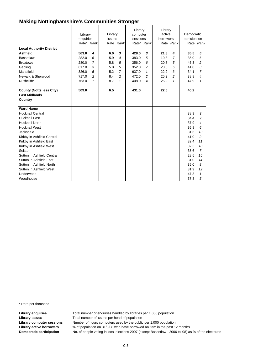| <b>Local Authority District</b><br><b>Ashfield</b><br><b>Bassetlaw</b> | Library<br>enquiries<br>Rate* Rank<br>563.0<br>282.0 | 4<br>6         | Library<br>issues<br>6.0<br>5.9 | Rate Rank<br>3<br>4 | Library<br>computer<br>sessions<br>428.0<br>383.0 | Rate* Rank<br>3<br>5     | Library<br>active<br>borrowers<br>21.8<br>19.8 | Rate Rank<br>4<br>$\overline{7}$ | Democratic<br>participation<br>35.5<br>35.0 | Rate Rank<br>5<br>6      |
|------------------------------------------------------------------------|------------------------------------------------------|----------------|---------------------------------|---------------------|---------------------------------------------------|--------------------------|------------------------------------------------|----------------------------------|---------------------------------------------|--------------------------|
| <b>Broxtowe</b>                                                        | 280.0                                                | $\overline{7}$ | 5.8                             | 5                   | 356.0                                             |                          | 20.7                                           |                                  | 45.3                                        | 2                        |
|                                                                        | 617.0                                                | 3              | 5.8                             | 5                   | 352.0                                             | 6<br>$\overline{7}$      | 20.0                                           | 5<br>6                           | 41.0                                        | 3                        |
| Gedling                                                                |                                                      |                |                                 |                     |                                                   |                          |                                                |                                  |                                             |                          |
| Mansfield                                                              | 326.0                                                | 5              | 5.2                             | $\overline{7}$      | 637.0                                             | $\mathbf{1}$             | 22.2                                           | 3                                | 34.1                                        | $\overline{7}$           |
| Newark & Sherwood                                                      | 717.0                                                | $\overline{c}$ | 8.4                             | 2                   | 472.0                                             | 2                        | 25.2                                           | 2                                | 38.8                                        | $\overline{\mathcal{A}}$ |
| <b>Rushcliffe</b>                                                      | 763.0                                                | 1              | 8.7                             | $\mathbf{1}$        | 408.0                                             | $\overline{\mathcal{A}}$ | 26.2                                           | $\mathbf{1}$                     | 47.9                                        | 1                        |
| <b>County (Notts less City)</b><br><b>East Midlands</b><br>Country     | 509.0                                                |                | 6.5                             |                     | 431.0                                             |                          | 22.6                                           |                                  | 40.2                                        |                          |
| <b>Ward Name</b>                                                       |                                                      |                |                                 |                     |                                                   |                          |                                                |                                  |                                             |                          |
| <b>Hucknall Central</b>                                                |                                                      |                |                                 |                     |                                                   |                          |                                                |                                  | 38.9                                        | 3                        |
| <b>Hucknall East</b>                                                   |                                                      |                |                                 |                     |                                                   |                          |                                                |                                  | 34.4                                        | 9                        |
| <b>Hucknall North</b>                                                  |                                                      |                |                                 |                     |                                                   |                          |                                                |                                  | 37.9                                        | $\overline{\mathcal{A}}$ |
| <b>Hucknall West</b>                                                   |                                                      |                |                                 |                     |                                                   |                          |                                                |                                  | 36.8                                        | 6                        |
| Jacksdale                                                              |                                                      |                |                                 |                     |                                                   |                          |                                                |                                  | 31.6                                        | 13                       |
| Kirkby in Ashfield Central                                             |                                                      |                |                                 |                     |                                                   |                          |                                                |                                  | 41.0                                        | $\overline{c}$           |
| Kirkby in Ashfield East                                                |                                                      |                |                                 |                     |                                                   |                          |                                                |                                  | 32.4                                        | 11                       |
| Kirkby in Ashfield West                                                |                                                      |                |                                 |                     |                                                   |                          |                                                |                                  | 32.5                                        | 10                       |
| Selston                                                                |                                                      |                |                                 |                     |                                                   |                          |                                                |                                  | 35.6                                        | $\overline{7}$           |
| Sutton in Ashfield Central                                             |                                                      |                |                                 |                     |                                                   |                          |                                                |                                  | 28.5                                        | 15                       |
| Sutton in Ashfield East                                                |                                                      |                |                                 |                     |                                                   |                          |                                                |                                  | 31.0                                        | 14                       |
| Sutton in Ashfield North                                               |                                                      |                |                                 |                     |                                                   |                          |                                                |                                  | 35.0                                        | 8                        |
| Sutton in Ashfield West                                                |                                                      |                |                                 |                     |                                                   |                          |                                                |                                  | 31.9                                        | 12                       |
| Underwood                                                              |                                                      |                |                                 |                     |                                                   |                          |                                                |                                  | 47.3                                        | 1                        |
| Woodhouse                                                              |                                                      |                |                                 |                     |                                                   |                          |                                                |                                  | 37.8                                        | 5                        |

\* Rate per thousand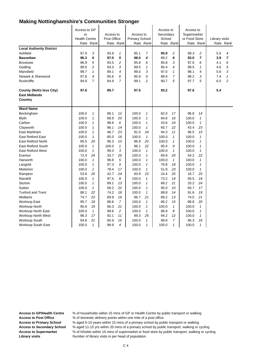| <b>Local Authority District</b><br>Ashfield<br><b>Bassetlaw</b>    | Access to GP<br>or<br><b>Health Centre</b><br>97.9<br>96.3 | Rate Rank<br>3<br>6 | Access to<br>Post Office<br>93.9<br>87.0 | Rate Rank<br>1<br>5 | Access to<br><b>Primary School</b><br>95.1<br>98.5 | Rate Rank<br>$\overline{7}$<br>4 | Access to<br>Secondary<br>School<br>95.9<br>89.2 | Rate Rank<br>2<br>6 | Access to<br>Supermarket<br>or Food Store<br>99.3<br>93.0 | Rate Rank<br>2<br>$\overline{7}$ | Library visits<br>5.5<br>3.9 | Rate Rank<br>4<br>$\overline{7}$ |
|--------------------------------------------------------------------|------------------------------------------------------------|---------------------|------------------------------------------|---------------------|----------------------------------------------------|----------------------------------|--------------------------------------------------|---------------------|-----------------------------------------------------------|----------------------------------|------------------------------|----------------------------------|
| <b>Broxtowe</b>                                                    | 96.9                                                       | 5                   | 93.5                                     | 2                   | 95.8                                               | 6                                | 95.8                                             | 3                   | 97.6                                                      | 6                                | 4.1                          | 6                                |
| Gedling                                                            | 99.5                                                       | $\overline{c}$      | 93.3                                     | 3                   | 99.5                                               | 1                                | 95.4                                             | 4                   | 99.5                                                      | 1                                | 4.6                          | 5                                |
| Mansfield                                                          | 99.7                                                       | $\mathbf{1}$        | 89.1                                     | 4                   | 99.0                                               | 3                                | 97.0                                             | $\mathbf{1}$        | 98.1                                                      | $\overline{4}$                   | 5.6                          | 3                                |
| Newark & Sherwood                                                  | 97.8                                                       | $\overline{4}$      | 85.6                                     | 6                   | 95.9                                               | 5                                | 88.9                                             | 7                   | 98.2                                                      | 3                                | 7.4                          | $\mathbf{1}$                     |
| Rushcliffe                                                         | 94.9                                                       | $\overline{7}$      | 84.9                                     | 7                   | 99.1                                               | $\overline{c}$                   | 90.7                                             | 5                   | 97.7                                                      | 5                                | 6.0                          | $\overline{c}$                   |
| <b>County (Notts less City)</b><br><b>East Midlands</b><br>Country | 97.6                                                       |                     | 89.7                                     |                     | 97.5                                               |                                  | 93.2                                             |                     | 97.6                                                      |                                  | 5.4                          |                                  |
| <b>Ward Name</b>                                                   |                                                            |                     |                                          |                     |                                                    |                                  |                                                  |                     |                                                           |                                  |                              |                                  |
| Beckingham                                                         | 100.0                                                      | $\mathcal I$        | 89.1                                     | 12                  | 100.0                                              | 1                                | 82.0                                             | 17                  | 96.8                                                      | 14                               |                              |                                  |
| <b>Blyth</b>                                                       | 100.0                                                      | $\mathbf{1}$        | 68.9                                     | 20                  | 100.0                                              | 1                                | 84.6                                             | 16                  | 100.0                                                     | $\mathcal I$                     |                              |                                  |
| Carlton                                                            | 100.0                                                      | $\mathbf{1}$        | 98.6                                     | 6                   | 100.0                                              | 1                                | 43.6                                             | 24                  | 100.0                                                     | $\mathbf{1}$                     |                              |                                  |
| Clayworth                                                          | 100.0                                                      | $\mathbf{1}$        | 86.1                                     | 14                  | 100.0                                              | 1                                | 65.7                                             | 22                  | 43.4                                                      | 23                               |                              |                                  |
| East Markham                                                       | 100.0                                                      | $\mathbf{1}$        | 46.7                                     | 23                  | 91.0                                               | 24                               | 94.3                                             | 11                  | 96.5                                                      | 15                               |                              |                                  |
| East Retford East                                                  | 100.0                                                      | $\mathbf{1}$        | 85.0                                     | 16                  | 100.0                                              | $\mathbf{1}$                     | 100.0                                            | $\mathbf{1}$        | 100.0                                                     | $\mathbf{1}$                     |                              |                                  |
| <b>East Retford North</b>                                          | 95.5                                                       | 20                  | 96.3                                     | 10                  | 96.9                                               | 20                               | 100.0                                            | $\mathcal I$        | 100.0                                                     | $\mathbf{1}$                     |                              |                                  |
| <b>East Retford South</b>                                          | 100.0                                                      | $\mathcal I$        | 100.0                                    | 1                   | 96.1                                               | 22                               | 95.4                                             | 9                   | 100.0                                                     | 1                                |                              |                                  |
| <b>East Retford West</b>                                           | 100.0                                                      | $\mathbf{1}$        | 99.3                                     | 3                   | 100.0                                              | 1                                | 100.0                                            | $\mathbf{1}$        | 100.0                                                     | $\mathbf{1}$                     |                              |                                  |
| Everton                                                            | 72.4                                                       | 24                  | 33.7                                     | 25                  | 100.0                                              | 1                                | 69.9                                             | 20                  | 54.2                                                      | 22                               |                              |                                  |
| Harworth                                                           | 100.0                                                      | $\mathbf{1}$        | 98.8                                     | 5                   | 100.0                                              | 1                                | 100.0                                            | 1                   | 100.0                                                     | $\mathbf{1}$                     |                              |                                  |
| Langold                                                            | 100.0                                                      | $\mathcal I$        | 97.3                                     | 9                   | 100.0                                              | $\mathbf{1}$                     | 76.8                                             | 18                  | 100.0                                                     | $\mathbf{1}$                     |                              |                                  |
| Misterton                                                          | 100.0                                                      | $\mathbf{1}$        | 78.4                                     | 17                  | 100.0                                              | $\mathbf{1}$                     | 51.9                                             | 23                  | 100.0                                                     | $\mathcal I$                     |                              |                                  |
| Rampton                                                            | 53.6                                                       | 25                  | 42.7                                     | 24                  | 93.9                                               | 23                               | 24.4                                             | 25                  | 16.7                                                      | 25                               |                              |                                  |
| Ranskill                                                           | 100.0                                                      | $\mathcal I$        | 97.5                                     | 8                   | 100.0                                              | 1                                | 73.2                                             | 19                  | 93.5                                                      | 18                               |                              |                                  |
| Sturton                                                            | 100.0                                                      | $\mathbf{1}$        | 89.1                                     | 13                  | 100.0                                              | 1                                | 68.2                                             | 21                  | 33.2                                                      | 24                               |                              |                                  |
| Sutton                                                             | 100.0                                                      | $\mathbf{1}$        | 58.2                                     | 22                  | 100.0                                              | 1                                | 95.0                                             | 10                  | 93.7                                                      | 17                               |                              |                                  |
| <b>Tuxford and Trent</b>                                           | 88.1                                                       | 22                  | 74.2                                     | 18                  | 100.0                                              | 1                                | 88.8                                             | 14                  | 91.6                                                      | 19                               |                              |                                  |
| Welbeck                                                            | 74.7                                                       | 23                  | 69.9                                     | 19                  | 96.7                                               | 21                               | 89.2                                             | 13                  | 74.0                                                      | 21                               |                              |                                  |
| <b>Worksop East</b>                                                | 95.7                                                       | 18                  | 98.6                                     | $\overline{7}$      | 100.0                                              | 1                                | 86.2                                             | 15                  | 88.8                                                      | 20                               |                              |                                  |
| <b>Worksop North</b>                                               | 95.6                                                       | 19                  | 66.3                                     | 21                  | 100.0                                              | $\mathbf{1}$                     | 100.0                                            | $\mathbf{1}$        | 100.0                                                     | $\mathbf{1}$                     |                              |                                  |
| <b>Worksop North East</b>                                          | 100.0                                                      | $\mathbf{1}$        | 99.6                                     | 2                   | 100.0                                              | 1                                | 96.9                                             | 8                   | 100.0                                                     | $\mathbf{1}$                     |                              |                                  |
| Worksop North West                                                 | 96.3                                                       | 17                  | 92.1                                     | 11                  | 89.3                                               | 25                               | 94.2                                             | 12                  | 100.0                                                     | $\mathbf{1}$                     |                              |                                  |
| <b>Worksop South</b>                                               | 94.8                                                       | 21                  | 85.9                                     | 15                  | 100.0                                              | $\mathbf{1}$                     | 99.8                                             | $\overline{7}$      | 95.3                                                      | 16                               |                              |                                  |
| Worksop South East                                                 | 100.0                                                      | 1                   | 98.9                                     | 4                   | 100.0                                              | 1                                | 100.0                                            | 1                   | 100.0                                                     | 1                                |                              |                                  |

Access to GP/Health Centre % of households within 15 mins of GP or Health Centre by public transport or walking<br>Access to Post Office % of domestic delivery points within one mile of a post office

**Access to Post Office** % of domestic delivery points within one mile of a post office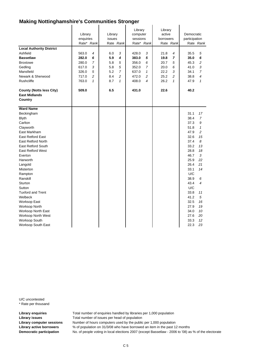| <b>Local Authority District</b><br>Ashfield                               | Library<br>enquiries<br>Rate* Rank<br>563.0 | 4            | Library<br>issues<br>6.0 | Rate Rank<br>3 | Library<br>computer<br>sessions<br>428.0 | Rate* Rank<br>3          | Library<br>active<br>borrowers<br>21.8 | Rate Rank<br>$\overline{4}$ | Democratic<br>participation<br>35.5 | Rate Rank<br>5 |
|---------------------------------------------------------------------------|---------------------------------------------|--------------|--------------------------|----------------|------------------------------------------|--------------------------|----------------------------------------|-----------------------------|-------------------------------------|----------------|
| <b>Bassetlaw</b>                                                          | 282.0                                       | 6            | 5.9                      | 4              | 383.0                                    | 5                        | 19.8                                   | $\overline{7}$              | 35.0                                | 6              |
| <b>Broxtowe</b>                                                           | 280.0                                       | 7            | 5.8                      | 5              | 356.0                                    | 6                        | 20.7                                   | 5                           | 45.3                                | 2              |
| Gedling                                                                   | 617.0                                       | 3            | 5.8                      | 5              | 352.0                                    | 7                        | 20.0                                   | 6                           | 41.0                                | 3              |
| Mansfield                                                                 | 326.0                                       | 5            | 5.2                      | $\overline{7}$ | 637.0                                    | $\mathbf{1}$             | 22.2                                   | 3                           | 34.1                                | $\overline{7}$ |
| Newark & Sherwood                                                         | 717.0                                       | 2            | 8.4                      | $\overline{c}$ | 472.0                                    | $\overline{c}$           | 25.2                                   | 2                           | 38.8                                | 4              |
| Rushcliffe                                                                | 763.0                                       | $\mathbf{1}$ | 8.7                      | $\mathbf{1}$   | 408.0                                    | $\overline{\mathcal{A}}$ | 26.2                                   | $\mathbf{1}$                | 47.9                                | $\mathbf{1}$   |
| <b>County (Notts less City)</b><br><b>East Midlands</b><br><b>Country</b> | 509.0                                       |              | 6.5                      |                | 431.0                                    |                          | 22.6                                   |                             | 40.2                                |                |
| <b>Ward Name</b>                                                          |                                             |              |                          |                |                                          |                          |                                        |                             |                                     |                |
| Beckingham                                                                |                                             |              |                          |                |                                          |                          |                                        |                             | 31.1                                | 17             |
| <b>Blyth</b>                                                              |                                             |              |                          |                |                                          |                          |                                        |                             | 38.4                                | $\overline{7}$ |
| Carlton                                                                   |                                             |              |                          |                |                                          |                          |                                        |                             | 37.3                                | 9              |
| Clayworth                                                                 |                                             |              |                          |                |                                          |                          |                                        |                             | 51.8                                | $\mathbf{1}$   |
| East Markham                                                              |                                             |              |                          |                |                                          |                          |                                        |                             | 47.9                                | $\overline{c}$ |
| <b>East Retford East</b>                                                  |                                             |              |                          |                |                                          |                          |                                        |                             | 32.6                                | 15             |
| <b>East Retford North</b>                                                 |                                             |              |                          |                |                                          |                          |                                        |                             | 37.4                                | 8              |
| East Retford South                                                        |                                             |              |                          |                |                                          |                          |                                        |                             | 33.2                                | 13             |
| <b>East Retford West</b>                                                  |                                             |              |                          |                |                                          |                          |                                        |                             | 28.8                                | 18             |
| Everton                                                                   |                                             |              |                          |                |                                          |                          |                                        |                             | 46.7                                | 3              |
| Harworth                                                                  |                                             |              |                          |                |                                          |                          |                                        |                             | 25.9                                | 22             |
| Langold                                                                   |                                             |              |                          |                |                                          |                          |                                        |                             | 26.4                                | 21             |
| Misterton                                                                 |                                             |              |                          |                |                                          |                          |                                        |                             | 33.1                                | 14             |
| Rampton                                                                   |                                             |              |                          |                |                                          |                          |                                        |                             | U/C                                 |                |
| Ranskill                                                                  |                                             |              |                          |                |                                          |                          |                                        |                             | 38.9                                | 6              |
| Sturton                                                                   |                                             |              |                          |                |                                          |                          |                                        |                             | 43.4                                | 4              |
| Sutton                                                                    |                                             |              |                          |                |                                          |                          |                                        |                             | U/C                                 |                |
| <b>Tuxford and Trent</b>                                                  |                                             |              |                          |                |                                          |                          |                                        |                             | 33.8                                | 11             |
| Welbeck                                                                   |                                             |              |                          |                |                                          |                          |                                        |                             | 41.2                                | 5              |
| Worksop East                                                              |                                             |              |                          |                |                                          |                          |                                        |                             | 32.5                                | 16             |
| <b>Worksop North</b>                                                      |                                             |              |                          |                |                                          |                          |                                        |                             | 27.9                                | 19             |
| <b>Worksop North East</b>                                                 |                                             |              |                          |                |                                          |                          |                                        |                             | 34.0                                | 10             |
| Worksop North West                                                        |                                             |              |                          |                |                                          |                          |                                        |                             | 27.6                                | 20             |
| Worksop South                                                             |                                             |              |                          |                |                                          |                          |                                        |                             | 33.3                                | 12             |
| Worksop South East                                                        |                                             |              |                          |                |                                          |                          |                                        |                             | 22.3                                | 23             |

U/C uncontested \* Rate per thousand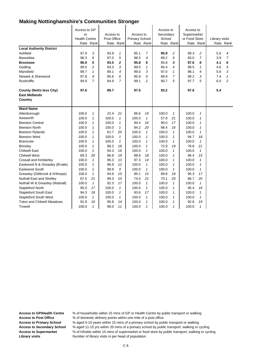| <b>Local Authority District</b><br>Ashfield<br><b>Bassetlaw</b><br><b>Broxtowe</b><br>Gedling<br>Mansfield<br>Newark & Sherwood<br><b>Rushcliffe</b> | Access to GP<br>or<br><b>Health Centre</b><br>97.9<br>96.3<br>96.9<br>99.5<br>99.7<br>97.8<br>94.9 | Rate Rank<br>3<br>6<br>5<br>$\overline{c}$<br>1<br>$\overline{4}$<br>$\overline{7}$ | Access to<br>Post Office<br>93.9<br>87.0<br>93.5<br>93.3<br>89.1<br>85.6<br>84.9 | Rate Rank<br>$\mathcal I$<br>5<br>$\mathbf 2$<br>3<br>4<br>6<br>7 | Access to<br><b>Primary School</b><br>95.1<br>98.5<br>95.8<br>99.5<br>99.0<br>95.9<br>99.1 | Rate Rank<br>$\overline{7}$<br>4<br>6<br>$\mathbf{1}$<br>3<br>5<br>2 | Access to<br>Secondary<br>School<br>95.9<br>89.2<br>95.8<br>95.4<br>97.0<br>88.9<br>90.7 | Rate Rank<br>$\overline{c}$<br>6<br>3<br>4<br>1<br>$\overline{7}$<br>5 | Access to<br>Supermarket<br>or Food Store<br>99.3<br>93.0<br>97.6<br>99.5<br>98.1<br>98.2<br>97.7 | Rate Rank<br>2<br>$\overline{7}$<br>6<br>$\mathcal I$<br>4<br>3<br>5 | Library visits<br>5.5<br>3.9<br>4.1<br>4.6<br>5.6<br>7.4<br>6.0 | Rate Rank<br>4<br>$\overline{7}$<br>6<br>5<br>3<br>1<br>2 |
|------------------------------------------------------------------------------------------------------------------------------------------------------|----------------------------------------------------------------------------------------------------|-------------------------------------------------------------------------------------|----------------------------------------------------------------------------------|-------------------------------------------------------------------|--------------------------------------------------------------------------------------------|----------------------------------------------------------------------|------------------------------------------------------------------------------------------|------------------------------------------------------------------------|---------------------------------------------------------------------------------------------------|----------------------------------------------------------------------|-----------------------------------------------------------------|-----------------------------------------------------------|
| <b>County (Notts less City)</b>                                                                                                                      | 97.6                                                                                               |                                                                                     | 89.7                                                                             |                                                                   | 97.5                                                                                       |                                                                      | 93.2                                                                                     |                                                                        | 97.6                                                                                              |                                                                      | 5.4                                                             |                                                           |
| <b>East Midlands</b>                                                                                                                                 |                                                                                                    |                                                                                     |                                                                                  |                                                                   |                                                                                            |                                                                      |                                                                                          |                                                                        |                                                                                                   |                                                                      |                                                                 |                                                           |
| Country                                                                                                                                              |                                                                                                    |                                                                                     |                                                                                  |                                                                   |                                                                                            |                                                                      |                                                                                          |                                                                        |                                                                                                   |                                                                      |                                                                 |                                                           |
| <b>Ward Name</b>                                                                                                                                     |                                                                                                    |                                                                                     |                                                                                  |                                                                   |                                                                                            |                                                                      |                                                                                          |                                                                        |                                                                                                   |                                                                      |                                                                 |                                                           |
| Attenborough                                                                                                                                         | 100.0                                                                                              | $\mathbf{1}$                                                                        | 22.4                                                                             | 21                                                                | 86.6                                                                                       | 19                                                                   | 100.0                                                                                    | 1                                                                      | 100.0                                                                                             | $\mathcal I$                                                         |                                                                 |                                                           |
| Awsworth                                                                                                                                             | 100.0                                                                                              | $\mathbf{1}$                                                                        | 100.0                                                                            | $\mathcal I$                                                      | 100.0                                                                                      | $\mathbf{1}$                                                         | 57.9                                                                                     | 21                                                                     | 100.0                                                                                             | 1                                                                    |                                                                 |                                                           |
| <b>Beeston Central</b>                                                                                                                               | 100.0                                                                                              | 1                                                                                   | 100.0                                                                            | 1                                                                 | 94.4                                                                                       | 16                                                                   | 90.0                                                                                     | 17                                                                     | 100.0                                                                                             | $\mathbf{1}$                                                         |                                                                 |                                                           |
| <b>Beeston North</b>                                                                                                                                 | 100.0                                                                                              | 1                                                                                   | 100.0                                                                            | $\mathbf{1}$                                                      | 84.2                                                                                       | 20                                                                   | 98.4                                                                                     | 16                                                                     | 100.0                                                                                             | $\mathbf{1}$                                                         |                                                                 |                                                           |
| <b>Beeston Rylands</b>                                                                                                                               | 100.0                                                                                              | 1                                                                                   | 61.7                                                                             | 20                                                                | 100.0                                                                                      | $\mathbf{1}$                                                         | 100.0                                                                                    | $\mathbf{1}$                                                           | 100.0                                                                                             | $\mathbf{1}$                                                         |                                                                 |                                                           |
| <b>Beeston West</b>                                                                                                                                  | 100.0                                                                                              | $\mathbf{1}$                                                                        | 100.0                                                                            | $\mathbf{1}$                                                      | 100.0                                                                                      | $\mathbf{1}$                                                         | 100.0                                                                                    | 1                                                                      | 94.7                                                                                              | 18                                                                   |                                                                 |                                                           |
| <b>Bramcote</b>                                                                                                                                      | 100.0                                                                                              | $\mathcal I$                                                                        | 100.0                                                                            | $\mathbf{1}$                                                      | 100.0                                                                                      | $\mathbf{1}$                                                         | 100.0                                                                                    | $\mathbf{1}$                                                           | 100.0                                                                                             | $\mathbf{1}$                                                         |                                                                 |                                                           |
| <b>Brinsley</b>                                                                                                                                      | 100.0                                                                                              | $\mathbf{1}$                                                                        | 88.2                                                                             | 18                                                                | 100.0                                                                                      | $\mathbf{1}$                                                         | 72.9                                                                                     | 19                                                                     | 78.8                                                                                              | 21                                                                   |                                                                 |                                                           |
| <b>Chilwell East</b>                                                                                                                                 | 100.0                                                                                              | $\mathbf{1}$                                                                        | 94.3                                                                             | 16                                                                | 100.0                                                                                      | $\mathbf{1}$                                                         | 100.0                                                                                    | 1                                                                      | 100.0                                                                                             | $\mathbf{1}$                                                         |                                                                 |                                                           |
| <b>Chilwell West</b>                                                                                                                                 | 89.3                                                                                               | 20                                                                                  | 86.8                                                                             | 19                                                                | 88.6                                                                                       | 18                                                                   | 100.0                                                                                    | 1                                                                      | 96.4                                                                                              | 15                                                                   |                                                                 |                                                           |
| <b>Cossall and Kimberley</b>                                                                                                                         | 100.0                                                                                              | $\mathbf{1}$                                                                        | 96.3                                                                             | 13                                                                | 97.3                                                                                       | 14                                                                   | 100.0                                                                                    | 1                                                                      | 100.0                                                                                             | $\mathbf{1}$                                                         |                                                                 |                                                           |
| Eastwood N & Greasley (B'vale)                                                                                                                       | 100.0                                                                                              | 1                                                                                   | 96.8                                                                             | 12                                                                | 100.0                                                                                      | $\mathbf{1}$                                                         | 100.0                                                                                    | 1                                                                      | 100.0                                                                                             | $\mathbf{1}$                                                         |                                                                 |                                                           |
| Eastwood South                                                                                                                                       | 100.0                                                                                              | $\mathbf{1}$                                                                        | 99.9                                                                             | 9                                                                 | 100.0                                                                                      | $\mathbf{1}$                                                         | 100.0                                                                                    | 1                                                                      | 100.0                                                                                             | $\mathbf{1}$                                                         |                                                                 |                                                           |
| Greasley (Giltbrook & N'thorpe)                                                                                                                      | 100.0                                                                                              | $\mathbf{1}$                                                                        | 94.6                                                                             | 15                                                                | 95.1                                                                                       | 15                                                                   | 89.8                                                                                     | 18                                                                     | 95.3                                                                                              | 17                                                                   |                                                                 |                                                           |
| <b>Nuthall East and Strelley</b>                                                                                                                     | 67.5                                                                                               | 21                                                                                  | 99.3                                                                             | 10                                                                | 74.0                                                                                       | 21                                                                   | 70.1                                                                                     | 20                                                                     | 86.7                                                                                              | 20                                                                   |                                                                 |                                                           |
| Nuthall W & Greasley (Watnall)                                                                                                                       | 100.0                                                                                              | $\mathbf{1}$                                                                        | 92.3                                                                             | 17                                                                | 100.0                                                                                      | $\mathbf{1}$                                                         | 100.0                                                                                    | 1                                                                      | 100.0                                                                                             | $\mathbf{1}$                                                         |                                                                 |                                                           |
| <b>Stapleford North</b>                                                                                                                              | 95.0                                                                                               | 17                                                                                  | 100.0                                                                            | $\mathbf{1}$                                                      | 100.0                                                                                      | $\mathbf{1}$                                                         | 100.0                                                                                    | 1                                                                      | 95.4                                                                                              | 16                                                                   |                                                                 |                                                           |
| <b>Stapleford South East</b>                                                                                                                         | 94.3                                                                                               | 18                                                                                  | 100.0                                                                            | $\mathbf{1}$                                                      | 93.6                                                                                       | 17                                                                   | 100.0                                                                                    | 1                                                                      | 100.0                                                                                             | $\mathbf{1}$                                                         |                                                                 |                                                           |
| <b>Stapleford South West</b>                                                                                                                         | 100.0                                                                                              | $\mathcal I$                                                                        | 100.0                                                                            | 1                                                                 | 100.0                                                                                      | $\mathcal I$                                                         | 100.0                                                                                    | 1                                                                      | 100.0                                                                                             | 1                                                                    |                                                                 |                                                           |
| <b>Toton and Chilwell Meadows</b>                                                                                                                    | 91.9                                                                                               | 19                                                                                  | 95.8                                                                             | 14                                                                | 100.0                                                                                      | 1                                                                    | 100.0                                                                                    | 1                                                                      | 92.6                                                                                              | 19                                                                   |                                                                 |                                                           |
| Trowell                                                                                                                                              | 100.0                                                                                              | 1                                                                                   | 98.0                                                                             | 11                                                                | 100.0                                                                                      | 1                                                                    | 100.0                                                                                    | 1                                                                      | 100.0                                                                                             | $\mathbf{1}$                                                         |                                                                 |                                                           |

**Access to GP/Health Centre** % of households within 15 mins of GP or Health Centre by public transport or walking

Access to Post Office % of domestic delivery points within one mile of a post office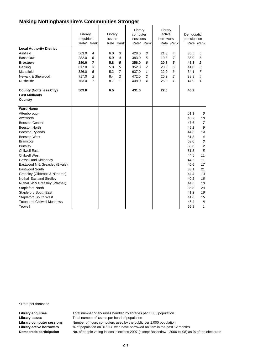|                                                         | Library<br>enquiries<br>Rate* Rank |                | Library<br>issues | Rate Rank      | Library<br>computer<br>sessions | Rate* Rank     | Library<br>active<br>borrowers | Rate Rank | Democratic<br>participation | Rate Rank      |
|---------------------------------------------------------|------------------------------------|----------------|-------------------|----------------|---------------------------------|----------------|--------------------------------|-----------|-----------------------------|----------------|
| <b>Local Authority District</b>                         |                                    |                |                   |                |                                 |                |                                |           |                             |                |
| Ashfield                                                | 563.0                              | 4              | 6.0               | 3              | 428.0                           | 3              | 21.8                           | 4         | 35.5                        | 5              |
| <b>Bassetlaw</b>                                        | 282.0                              | 6              | 5.9               | $\overline{4}$ | 383.0                           | 5              | 19.8                           | 7         | 35.0                        | 6              |
| <b>Broxtowe</b>                                         | 280.0                              | 7              | 5.8               | 5              | 356.0                           | 6              | 20.7                           | 5         | 45.3                        | $\mathbf 2$    |
| Gedling                                                 | 617.0                              | 3              | 5.8               | 5              | 352.0                           | $\overline{7}$ | 20.0                           | 6         | 41.0                        | 3              |
| Mansfield                                               | 326.0                              | 5              | 5.2               | $\overline{7}$ | 637.0                           | $\mathbf{1}$   | 22.2                           | 3         | 34.1                        | $\overline{7}$ |
| Newark & Sherwood                                       | 717.0                              | $\overline{c}$ | 8.4               | 2              | 472.0                           | 2              | 25.2                           | 2         | 38.8                        | 4              |
| Rushcliffe                                              | 763.0                              | $\mathbf{1}$   | 8.7               | $\mathbf{1}$   | 408.0                           | 4              | 26.2                           | 1         | 47.9                        | 1              |
| <b>County (Notts less City)</b><br><b>East Midlands</b> | 509.0                              |                | 6.5               |                | 431.0                           |                | 22.6                           |           | 40.2                        |                |
| Country                                                 |                                    |                |                   |                |                                 |                |                                |           |                             |                |
| <b>Ward Name</b>                                        |                                    |                |                   |                |                                 |                |                                |           |                             |                |
| Attenborough                                            |                                    |                |                   |                |                                 |                |                                |           | 51.1                        | 6              |
| Awsworth                                                |                                    |                |                   |                |                                 |                |                                |           | 40.2                        | 18             |
| <b>Beeston Central</b>                                  |                                    |                |                   |                |                                 |                |                                |           | 47.6                        | $\overline{7}$ |
| <b>Beeston North</b>                                    |                                    |                |                   |                |                                 |                |                                |           | 45.2                        | 9              |
| <b>Beeston Rylands</b>                                  |                                    |                |                   |                |                                 |                |                                |           | 44.3                        | 14             |
| <b>Beeston West</b>                                     |                                    |                |                   |                |                                 |                |                                |           | 51.8                        | $\overline{4}$ |
| <b>Bramcote</b>                                         |                                    |                |                   |                |                                 |                |                                |           | 53.0                        | $\sqrt{3}$     |
| <b>Brinsley</b>                                         |                                    |                |                   |                |                                 |                |                                |           | 53.8                        | $\overline{c}$ |
| <b>Chilwell East</b>                                    |                                    |                |                   |                |                                 |                |                                |           | 51.3                        | 5              |
| <b>Chilwell West</b>                                    |                                    |                |                   |                |                                 |                |                                |           | 44.5                        | 11             |
| <b>Cossall and Kimberley</b>                            |                                    |                |                   |                |                                 |                |                                |           | 44.5                        | 11             |
| Eastwood N & Greasley (B'vale)                          |                                    |                |                   |                |                                 |                |                                |           | 40.6                        | 17             |
| Eastwood South                                          |                                    |                |                   |                |                                 |                |                                |           | 33.1                        | 21             |
| Greasley (Giltbrook & N'thorpe)                         |                                    |                |                   |                |                                 |                |                                |           | 44.4                        | 13             |
| <b>Nuthall East and Strelley</b>                        |                                    |                |                   |                |                                 |                |                                |           | 40.2                        | 18             |
| Nuthall W & Greasley (Watnall)                          |                                    |                |                   |                |                                 |                |                                |           | 44.6                        | 10             |
| Stapleford North                                        |                                    |                |                   |                |                                 |                |                                |           | 36.8                        | 20             |
| <b>Stapleford South East</b>                            |                                    |                |                   |                |                                 |                |                                |           | 41.2                        | 16             |
| <b>Stapleford South West</b>                            |                                    |                |                   |                |                                 |                |                                |           | 41.8                        | 15             |
| <b>Toton and Chilwell Meadows</b>                       |                                    |                |                   |                |                                 |                |                                |           | 45.4                        | 8              |
| <b>Trowell</b>                                          |                                    |                |                   |                |                                 |                |                                |           | 55.8                        | 1              |

\* Rate per thousand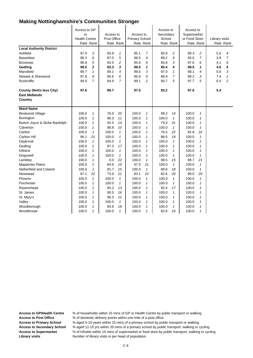| <b>Local Authority District</b><br>Ashfield<br><b>Bassetlaw</b><br><b>Broxtowe</b><br>Gedling<br>Mansfield | Access to GP<br>or<br><b>Health Centre</b><br>97.9<br>96.3<br>96.9<br>99.5<br>99.7 | Rate Rank<br>3<br>6<br>5<br>$\overline{2}$<br>1 | Access to<br>Post Office<br>93.9<br>87.0<br>93.5<br>93.3<br>89.1 | Rate Rank<br>1<br>5<br>2<br>3<br>4 | Access to<br><b>Primary School</b><br>95.1<br>98.5<br>95.8<br>99.5<br>99.0 | Rate Rank<br>7<br>$\overline{4}$<br>6<br>1<br>3 | Access to<br>Secondary<br>School<br>95.9<br>89.2<br>95.8<br>95.4<br>97.0 | Rate Rank<br>$\overline{c}$<br>6<br>3<br>4<br>$\mathbf{1}$ | Access to<br>Supermarket<br>or Food Store<br>99.3<br>93.0<br>97.6<br>99.5<br>98.1 | Rate Rank<br>2<br>$\overline{7}$<br>6<br>1<br>4 | Library visits<br>5.5<br>3.9<br>4.1<br>4.6<br>5.6 | Rate Rank<br>4<br>$\overline{7}$<br>6<br>5<br>3 |
|------------------------------------------------------------------------------------------------------------|------------------------------------------------------------------------------------|-------------------------------------------------|------------------------------------------------------------------|------------------------------------|----------------------------------------------------------------------------|-------------------------------------------------|--------------------------------------------------------------------------|------------------------------------------------------------|-----------------------------------------------------------------------------------|-------------------------------------------------|---------------------------------------------------|-------------------------------------------------|
| Newark & Sherwood<br><b>Rushcliffe</b>                                                                     | 97.8<br>94.9                                                                       | 4<br>$\overline{7}$                             | 85.6<br>84.9                                                     | 6<br>$\overline{7}$                | 95.9<br>99.1                                                               | 5<br>$\overline{c}$                             | 88.9<br>90.7                                                             | $\overline{7}$<br>5                                        | 98.2<br>97.7                                                                      | 3<br>5                                          | 7.4<br>6.0                                        | $\mathbf{1}$<br>$\overline{c}$                  |
|                                                                                                            |                                                                                    |                                                 |                                                                  |                                    |                                                                            |                                                 |                                                                          |                                                            |                                                                                   |                                                 |                                                   |                                                 |
| <b>County (Notts less City)</b><br><b>East Midlands</b><br>Country                                         | 97.6                                                                               |                                                 | 89.7                                                             |                                    | 97.5                                                                       |                                                 | 93.2                                                                     |                                                            | 97.6                                                                              |                                                 | 5.4                                               |                                                 |
| <b>Ward Name</b>                                                                                           |                                                                                    |                                                 |                                                                  |                                    |                                                                            |                                                 |                                                                          |                                                            |                                                                                   |                                                 |                                                   |                                                 |
| <b>Bestwood Village</b>                                                                                    | 100.0                                                                              | 1                                               | 76.0                                                             | 20                                 | 100.0                                                                      | $\mathbf{1}$                                    | 99.2                                                                     | 14                                                         | 100.0                                                                             | $\mathbf{1}$                                    |                                                   |                                                 |
| Bonington                                                                                                  | 100.0                                                                              | 1                                               | 96.3                                                             | 11                                 | 100.0                                                                      | 1                                               | 100.0                                                                    | $\mathbf{1}$                                               | 100.0                                                                             | $\mathbf{1}$                                    |                                                   |                                                 |
| Burton Joyce & Stoke Bardolph                                                                              | 100.0                                                                              | $\mathcal I$                                    | 92.5                                                             | 14                                 | 100.0                                                                      | 1                                               | 79.3                                                                     | 21                                                         | 100.0                                                                             | $\mathbf{1}$                                    |                                                   |                                                 |
| Calverton                                                                                                  | 100.0                                                                              | 1                                               | 98.8                                                             | 10                                 | 100.0                                                                      | 1                                               | 100.0                                                                    | $\mathbf{1}$                                               | 100.0                                                                             | $\mathbf{1}$                                    |                                                   |                                                 |
| Carlton                                                                                                    | 100.0                                                                              | 1                                               | 100.0                                                            | 1                                  | 100.0                                                                      | 1                                               | 76.5                                                                     | 22                                                         | 92.8                                                                              | 22                                              |                                                   |                                                 |
| <b>Carlton Hill</b>                                                                                        | 96.1                                                                               | 21                                              | 100.0                                                            | $\mathbf{1}$                       | 100.0                                                                      | $\mathbf{1}$                                    | 88.5                                                                     | 19                                                         | 100.0                                                                             | $\mathbf{1}$                                    |                                                   |                                                 |
| Daybrook                                                                                                   | 100.0                                                                              | $\mathbf{1}$                                    | 100.0                                                            | $\mathbf{1}$                       | 100.0                                                                      | $\mathbf{1}$                                    | 100.0                                                                    | $\mathbf{1}$                                               | 100.0                                                                             | $\mathbf{1}$                                    |                                                   |                                                 |
| Gedling                                                                                                    | 100.0                                                                              | $\mathbf{1}$                                    | 87.3                                                             | 17                                 | 100.0                                                                      | $\mathbf{1}$                                    | 100.0                                                                    | $\mathbf{1}$                                               | 100.0                                                                             | 1                                               |                                                   |                                                 |
| Killisick                                                                                                  | 100.0                                                                              | 1                                               | 100.0                                                            | $\mathbf{1}$                       | 100.0                                                                      | $\mathbf{1}$                                    | 100.0                                                                    | $\mathbf{1}$                                               | 100.0                                                                             | $\mathbf{1}$                                    |                                                   |                                                 |
| Kingswell                                                                                                  | 100.0                                                                              | 1                                               | 100.0                                                            | $\mathbf{1}$                       | 100.0                                                                      | 1                                               | 100.0                                                                    | 1                                                          | 100.0                                                                             | $\mathbf{1}$                                    |                                                   |                                                 |
| Lambley                                                                                                    | 100.0                                                                              | 1                                               | 0.0                                                              | 22                                 | 100.0                                                                      | $\mathbf{1}$                                    | 98.5                                                                     | 15                                                         | 98.7                                                                              | 21                                              |                                                   |                                                 |
| <b>Mapperley Plains</b>                                                                                    | 100.0                                                                              | $\mathcal I$                                    | 84.6                                                             | 19                                 | 97.5                                                                       | 21                                              | 100.0                                                                    | $\mathbf{1}$                                               | 100.0                                                                             | $\mathbf{1}$<br>$\mathbf{1}$                    |                                                   |                                                 |
| Netherfield and Colwick                                                                                    | 100.0                                                                              | $\mathcal I$<br>22                              | 91.7<br>73.9                                                     | 15<br>21                           | 100.0                                                                      | $\mathbf{1}$<br>22                              | 89.8                                                                     | 18                                                         | 100.0<br>99.0                                                                     |                                                 |                                                   |                                                 |
| Newstead<br>Phoenix                                                                                        | 87.1<br>100.0                                                                      | $\mathcal I$                                    | 100.0                                                            | $\mathbf{1}$                       | 83.1<br>100.0                                                              | $\mathbf{1}$                                    | 82.6<br>100.0                                                            | 20<br>$\mathbf{1}$                                         | 100.0                                                                             | 20<br>$\mathbf{1}$                              |                                                   |                                                 |
| Porchester                                                                                                 | 100.0                                                                              | 1                                               | 100.0                                                            | 1                                  | 100.0                                                                      | 1                                               | 100.0                                                                    | $\mathbf{1}$                                               | 100.0                                                                             | $\mathbf{1}$                                    |                                                   |                                                 |
| Ravenshead                                                                                                 | 100.0                                                                              | 1                                               | 93.2                                                             | 13                                 | 100.0                                                                      | 1                                               | 92.4                                                                     | 17                                                         | 100.0                                                                             | 1                                               |                                                   |                                                 |
| St. James                                                                                                  | 100.0                                                                              | 1                                               | 90.5                                                             | 16                                 | 100.0                                                                      | $\mathbf{1}$                                    | 100.0                                                                    | $\mathbf{1}$                                               | 100.0                                                                             | 1                                               |                                                   |                                                 |
| St. Mary's                                                                                                 | 100.0                                                                              | 1                                               | 96.3                                                             | 12                                 | 100.0                                                                      | $\mathbf{1}$                                    | 100.0                                                                    | 1                                                          | 100.0                                                                             | $\mathbf{1}$                                    |                                                   |                                                 |
| Valley                                                                                                     | 100.0                                                                              | 1                                               | 100.0                                                            | $\mathbf{1}$                       | 100.0                                                                      | $\mathbf{1}$                                    | 100.0                                                                    | $\mathbf{1}$                                               | 100.0                                                                             | 1                                               |                                                   |                                                 |
| Woodborough                                                                                                | 100.0                                                                              | 1                                               | 84.8                                                             | 18                                 | 100.0                                                                      | $\mathbf{1}$                                    | 100.0                                                                    | $\mathbf{1}$                                               | 100.0                                                                             | 1                                               |                                                   |                                                 |
| Woodthorpe                                                                                                 | 100.0                                                                              | 1                                               | 100.0                                                            | 1                                  | 100.0                                                                      | 1                                               | 92.8                                                                     | 16                                                         | 100.0                                                                             | 1                                               |                                                   |                                                 |

Access to GP/Health Centre % of households within 15 mins of GP or Health Centre by public transport or walking<br>Access to Post Office % of domestic delivery points within one mile of a post office

**Access to Post Office** % of domestic delivery points within one mile of a post office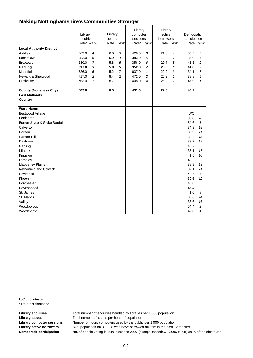|                                                         | Library<br>enquiries<br>Rate* Rank | Library<br>issues<br>Rate Rank | Library<br>computer<br>sessions<br>Rate* Rank | Library<br>active<br>borrowers<br>Rate Rank | Democratic<br>participation<br>Rate Rank |
|---------------------------------------------------------|------------------------------------|--------------------------------|-----------------------------------------------|---------------------------------------------|------------------------------------------|
| <b>Local Authority District</b>                         |                                    |                                |                                               |                                             |                                          |
| Ashfield                                                | 563.0<br>$\overline{4}$            | 6.0<br>3                       | 3<br>428.0                                    | 21.8<br>4                                   | 35.5<br>5                                |
| <b>Bassetlaw</b>                                        | 282.0<br>6                         | 5.9<br>$\overline{4}$          | 383.0<br>5                                    | $\overline{7}$<br>19.8                      | 35.0<br>6                                |
| <b>Broxtowe</b>                                         | $\overline{7}$<br>280.0            | 5.8<br>5                       | 356.0<br>6                                    | 20.7<br>5                                   | 45.3<br>2                                |
| Gedling                                                 | 617.0<br>3                         | 5.8<br>5                       | 352.0<br>7                                    | 20.0<br>6                                   | 41.0<br>3                                |
| Mansfield                                               | 326.0<br>5                         | 5.2<br>$\overline{7}$          | 637.0<br>$\mathbf{1}$                         | 22.2<br>3                                   | 34.1<br>$\overline{7}$                   |
| Newark & Sherwood                                       | $\overline{c}$<br>717.0            | 8.4<br>$\overline{c}$          | 472.0<br>2                                    | 25.2<br>$\overline{c}$                      | 38.8<br>4                                |
| <b>Rushcliffe</b>                                       | 763.0<br>$\mathbf{1}$              | $\mathbf{1}$<br>8.7            | 4<br>408.0                                    | 26.2<br>$\mathbf{1}$                        | 47.9<br>$\mathbf{1}$                     |
|                                                         |                                    |                                |                                               |                                             |                                          |
| <b>County (Notts less City)</b><br><b>East Midlands</b> | 509.0                              | 6.5                            | 431.0                                         | 22.6                                        | 40.2                                     |
| Country                                                 |                                    |                                |                                               |                                             |                                          |
| <b>Ward Name</b>                                        |                                    |                                |                                               |                                             |                                          |
| <b>Bestwood Village</b>                                 |                                    |                                |                                               |                                             | U/C                                      |
| Bonington                                               |                                    |                                |                                               |                                             | 33.0<br>20                               |
| Burton Joyce & Stoke Bardolph                           |                                    |                                |                                               |                                             | 54.6<br>$\mathcal{I}$                    |
| Calverton                                               |                                    |                                |                                               |                                             | 34.3<br>18                               |
| Carlton                                                 |                                    |                                |                                               |                                             | 39.9<br>11                               |
| Carlton Hill                                            |                                    |                                |                                               |                                             | 38.4<br>15                               |
| Daybrook                                                |                                    |                                |                                               |                                             | 33.7<br>19                               |
| Gedling                                                 |                                    |                                |                                               |                                             | 43.7<br>6                                |
| Killisick                                               |                                    |                                |                                               |                                             | 35.1<br>17                               |
| Kingswell                                               |                                    |                                |                                               |                                             | 41.5<br>10                               |
| Lambley                                                 |                                    |                                |                                               |                                             | 42.2<br>8                                |
| <b>Mapperley Plains</b>                                 |                                    |                                |                                               |                                             | 38.9<br>13                               |
| Netherfield and Colwick                                 |                                    |                                |                                               |                                             | 32.1<br>21                               |
| Newstead                                                |                                    |                                |                                               |                                             | 43.7<br>6                                |
| Phoenix                                                 |                                    |                                |                                               |                                             | 39.6<br>12                               |
| Porchester                                              |                                    |                                |                                               |                                             | 5<br>43.8                                |
| Ravenshead                                              |                                    |                                |                                               |                                             | 3<br>47.4                                |
| St. James                                               |                                    |                                |                                               |                                             | 41.6<br>9                                |
| St. Mary's                                              |                                    |                                |                                               |                                             | 38.6<br>14                               |
| Valley                                                  |                                    |                                |                                               |                                             | 36.6<br>16                               |
| Woodborough                                             |                                    |                                |                                               |                                             | 54.4<br>2                                |
| Woodthorpe                                              |                                    |                                |                                               |                                             | 47.3<br>4                                |

U/C uncontested \* Rate per thousand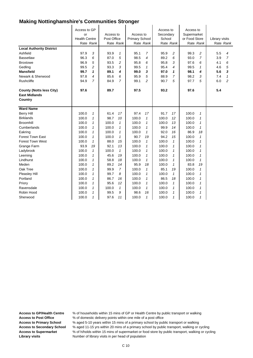| <b>Local Authority District</b><br>Ashfield<br><b>Bassetlaw</b><br><b>Broxtowe</b><br>Gedling<br><b>Mansfield</b><br>Newark & Sherwood | Access to GP<br>or<br><b>Health Centre</b><br>Rate Rank<br>97.9<br>96.3<br>96.9<br>99.5<br>99.7<br>97.8 | 3<br>6<br>5<br>$\overline{c}$<br>1<br>$\overline{4}$ | Access to<br>Post Office<br>Rate Rank<br>93.9<br>87.0<br>93.5<br>93.3<br>89.1<br>85.6 | $\mathcal I$<br>5<br>2<br>3<br>4<br>6 | Access to<br><b>Primary School</b><br>Rate Rank<br>95.1<br>98.5<br>95.8<br>99.5<br>99.0<br>95.9 | $\overline{7}$<br>$\overline{4}$<br>6<br>1<br>3<br>5 | Access to<br>Secondary<br>School<br>Rate Rank<br>95.9<br>89.2<br>95.8<br>95.4<br>97.0<br>88.9 | $\overline{c}$<br>6<br>3<br>4<br>1<br>$\overline{7}$ | Access to<br>Supermarket<br>or Food Store<br>Rate Rank<br>99.3<br>93.0<br>97.6<br>99.5<br>98.1<br>98.2 | $\overline{c}$<br>$\overline{7}$<br>6<br>$\mathbf{1}$<br>4<br>3 | Library visits<br>5.5<br>3.9<br>4.1<br>4.6<br>5.6<br>7.4 | Rate Rank<br>4<br>$\overline{7}$<br>6<br>5<br>3<br>$\mathbf{1}$ |
|----------------------------------------------------------------------------------------------------------------------------------------|---------------------------------------------------------------------------------------------------------|------------------------------------------------------|---------------------------------------------------------------------------------------|---------------------------------------|-------------------------------------------------------------------------------------------------|------------------------------------------------------|-----------------------------------------------------------------------------------------------|------------------------------------------------------|--------------------------------------------------------------------------------------------------------|-----------------------------------------------------------------|----------------------------------------------------------|-----------------------------------------------------------------|
| Rushcliffe                                                                                                                             | 94.9                                                                                                    | 7                                                    | 84.9                                                                                  | 7                                     | 99.1                                                                                            | 2                                                    | 90.7                                                                                          | 5                                                    | 97.7                                                                                                   | 5                                                               | 6.0                                                      | $\overline{c}$                                                  |
| <b>County (Notts less City)</b><br><b>East Midlands</b><br>Country                                                                     | 97.6                                                                                                    |                                                      | 89.7                                                                                  |                                       | 97.5                                                                                            |                                                      | 93.2                                                                                          |                                                      | 97.6                                                                                                   |                                                                 | 5.4                                                      |                                                                 |
| <b>Ward Name</b>                                                                                                                       |                                                                                                         |                                                      |                                                                                       |                                       |                                                                                                 |                                                      |                                                                                               |                                                      |                                                                                                        |                                                                 |                                                          |                                                                 |
| <b>Berry Hill</b>                                                                                                                      | 100.0                                                                                                   | 1                                                    | 61.4                                                                                  | 17                                    | 97.4                                                                                            | 17                                                   | 91.7                                                                                          | 17                                                   | 100.0                                                                                                  | $\mathcal I$                                                    |                                                          |                                                                 |
| <b>Birklands</b>                                                                                                                       | 100.0                                                                                                   | 1                                                    | 98.7                                                                                  | 10                                    | 100.0                                                                                           | 1                                                    | 100.0                                                                                         | 12                                                   | 100.0                                                                                                  | $\mathbf{1}$                                                    |                                                          |                                                                 |
| <b>Broomhill</b>                                                                                                                       | 100.0                                                                                                   | 1                                                    | 100.0                                                                                 | 1                                     | 100.0                                                                                           | 1                                                    | 100.0                                                                                         | 13                                                   | 100.0                                                                                                  | $\mathbf{1}$                                                    |                                                          |                                                                 |
| Cumberlands                                                                                                                            | 100.0                                                                                                   | 1                                                    | 100.0                                                                                 | $\mathbf{1}$                          | 100.0                                                                                           | 1                                                    | 99.9                                                                                          | 14                                                   | 100.0                                                                                                  | $\mathcal I$                                                    |                                                          |                                                                 |
| Eakring                                                                                                                                | 100.0                                                                                                   | 1                                                    | 100.0                                                                                 | $\mathbf{1}$                          | 100.0                                                                                           | 1                                                    | 92.0                                                                                          | 16                                                   | 86.9                                                                                                   | 18                                                              |                                                          |                                                                 |
| <b>Forest Town East</b>                                                                                                                | 100.0                                                                                                   | 1                                                    | 100.0                                                                                 | 1                                     | 90.7                                                                                            | 19                                                   | 94.2                                                                                          | 15                                                   | 100.0                                                                                                  | $\mathcal I$                                                    |                                                          |                                                                 |
| <b>Forest Town West</b>                                                                                                                | 100.0                                                                                                   | $\mathbf{1}$                                         | 88.0                                                                                  | 15                                    | 100.0                                                                                           | $\mathcal I$                                         | 100.0                                                                                         | 1                                                    | 100.0                                                                                                  | $\mathbf{1}$                                                    |                                                          |                                                                 |
| Grange Farm                                                                                                                            | 93.9                                                                                                    | 19                                                   | 92.1                                                                                  | 13                                    | 100.0                                                                                           | 1                                                    | 100.0                                                                                         | 1                                                    | 100.0                                                                                                  | 1                                                               |                                                          |                                                                 |
| Ladybrook                                                                                                                              | 100.0                                                                                                   | 1                                                    | 100.0                                                                                 | $\mathcal I$                          | 100.0                                                                                           | 1                                                    | 100.0                                                                                         | 1                                                    | 100.0                                                                                                  | 1                                                               |                                                          |                                                                 |
| Leeming                                                                                                                                | 100.0                                                                                                   | 1                                                    | 45.6                                                                                  | 19                                    | 100.0                                                                                           | 1                                                    | 100.0                                                                                         | 1                                                    | 100.0                                                                                                  | 1                                                               |                                                          |                                                                 |
| Lindhurst                                                                                                                              | 100.0                                                                                                   | 1                                                    | 58.8                                                                                  | 18                                    | 100.0                                                                                           | 1                                                    | 100.0                                                                                         | 1                                                    | 100.0                                                                                                  | $\mathbf{1}$                                                    |                                                          |                                                                 |
| Meden                                                                                                                                  | 100.0                                                                                                   | 1                                                    | 89.2                                                                                  | 14                                    | 95.9                                                                                            | 18                                                   | 100.0                                                                                         | $\mathbf{1}$                                         | 83.8                                                                                                   | 19                                                              |                                                          |                                                                 |
| Oak Tree                                                                                                                               | 100.0                                                                                                   | 1                                                    | 99.9                                                                                  | 7                                     | 100.0                                                                                           | 1                                                    | 85.1                                                                                          | 19                                                   | 100.0                                                                                                  | 1                                                               |                                                          |                                                                 |
| Pleasley Hill                                                                                                                          | 100.0                                                                                                   | 1                                                    | 99.7                                                                                  | 8                                     | 100.0                                                                                           | 1                                                    | 100.0                                                                                         | $\mathcal I$                                         | 100.0                                                                                                  | 1                                                               |                                                          |                                                                 |
| Portland                                                                                                                               | 100.0                                                                                                   | 1                                                    | 86.7                                                                                  | 16                                    | 100.0                                                                                           | 1                                                    | 86.5                                                                                          | 18                                                   | 100.0                                                                                                  | $\mathbf{1}$                                                    |                                                          |                                                                 |
| Priory                                                                                                                                 | 100.0                                                                                                   | 1                                                    | 95.6                                                                                  | 12                                    | 100.0                                                                                           | 1                                                    | 100.0                                                                                         | 1                                                    | 100.0                                                                                                  | $\mathbf{1}$                                                    |                                                          |                                                                 |
| Ravensdale                                                                                                                             | 100.0                                                                                                   | 1                                                    | 100.0                                                                                 | 1                                     | 100.0                                                                                           | $\mathcal I$                                         | 100.0                                                                                         | 1                                                    | 100.0                                                                                                  | $\mathcal I$                                                    |                                                          |                                                                 |
| Robin Hood                                                                                                                             | 100.0                                                                                                   | 1                                                    | 99.5                                                                                  | 9                                     | 98.6                                                                                            | 16                                                   | 100.0                                                                                         | 1                                                    | 100.0                                                                                                  | $\mathcal I$                                                    |                                                          |                                                                 |
| Sherwood                                                                                                                               | 100.0                                                                                                   | 1                                                    | 97.6                                                                                  | 11                                    | 100.0                                                                                           | 1                                                    | 100.0                                                                                         | $\mathbf{1}$                                         | 100.0                                                                                                  | 1                                                               |                                                          |                                                                 |

**Access to GP/Health Centre** % of households within 15 mins of GP or Health Centre by public transport or walking

Access to Post Office % of domestic delivery points within one mile of a post office

**Access to Primary School** % aged 5-10 years within 15 mins of a primary school by public transport or walking

**Access to Secondary School** % aged 11-15 yrs within 20 mins of a primary school by public transport, walking or cycling **Access to Supermarket** % of h/holds within 15 mins of supermarket or food store by public transport, walking or cycling **Library visits** Number of library visits in per head of population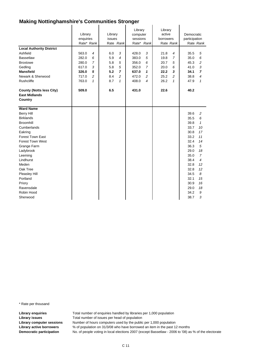|                                 | Library<br>enquiries<br>Rate* Rank | Library<br>issues<br>Rate Rank | Library<br>computer<br>sessions<br>Rate* Rank | Library<br>active<br>borrowers<br>Rate Rank | Democratic<br>participation<br>Rate Rank |
|---------------------------------|------------------------------------|--------------------------------|-----------------------------------------------|---------------------------------------------|------------------------------------------|
| <b>Local Authority District</b> |                                    |                                |                                               |                                             |                                          |
| Ashfield                        | 563.0<br>4                         | 3<br>6.0                       | 3<br>428.0                                    | 21.8<br>4                                   | 35.5<br>5                                |
| <b>Bassetlaw</b>                | 282.0<br>6                         | 5.9<br>4                       | 383.0<br>5                                    | 19.8<br>$\overline{7}$                      | 35.0<br>6                                |
| <b>Broxtowe</b>                 | $\overline{7}$<br>280.0            | 5.8<br>5                       | 356.0<br>6                                    | 20.7<br>5                                   | 45.3<br>2                                |
| Gedling                         | 3<br>617.0                         | 5.8<br>5                       | 352.0<br>$\overline{7}$                       | 20.0<br>6                                   | 3<br>41.0                                |
| <b>Mansfield</b>                | 326.0<br>5                         | 5.2<br>$\overline{7}$          | 637.0<br>1                                    | 22.2<br>3                                   | 34.1<br>$\overline{ }$                   |
| Newark & Sherwood               | $\overline{c}$<br>717.0            | 8.4<br>$\overline{c}$          | 472.0<br>2                                    | 25.2<br>$\overline{c}$                      | 38.8<br>4                                |
| Rushcliffe                      | 763.0<br>$\mathbf{1}$              | 8.7<br>$\mathbf{1}$            | 408.0<br>4                                    | 26.2<br>$\mathbf{1}$                        | 47.9<br>$\mathbf{1}$                     |
| <b>County (Notts less City)</b> | 509.0                              | 6.5                            | 431.0                                         | 22.6                                        | 40.2                                     |
| <b>East Midlands</b>            |                                    |                                |                                               |                                             |                                          |
| Country                         |                                    |                                |                                               |                                             |                                          |
|                                 |                                    |                                |                                               |                                             |                                          |
| <b>Ward Name</b>                |                                    |                                |                                               |                                             |                                          |
| <b>Berry Hill</b>               |                                    |                                |                                               |                                             | 39.6<br>2                                |
| <b>Birklands</b>                |                                    |                                |                                               |                                             | 35.5<br>6                                |
| <b>Broomhill</b>                |                                    |                                |                                               |                                             | $\mathbf{1}$<br>39.8                     |
| Cumberlands                     |                                    |                                |                                               |                                             | 33.7<br>10                               |
| Eakring                         |                                    |                                |                                               |                                             | 30.8<br>17                               |
| <b>Forest Town East</b>         |                                    |                                |                                               |                                             | 33.2<br>11                               |
| <b>Forest Town West</b>         |                                    |                                |                                               |                                             | 32.4<br>14                               |
| Grange Farm                     |                                    |                                |                                               |                                             | 5<br>36.3                                |
| Ladybrook                       |                                    |                                |                                               |                                             | 29.0<br>18                               |
| Leeming                         |                                    |                                |                                               |                                             | $\overline{7}$<br>35.0                   |
| Lindhurst                       |                                    |                                |                                               |                                             | 38.4<br>4                                |
| Meden                           |                                    |                                |                                               |                                             | 32.8<br>12                               |
| Oak Tree                        |                                    |                                |                                               |                                             | 32.8<br>12                               |
| Pleasley Hill                   |                                    |                                |                                               |                                             | 8<br>34.5                                |
| Portland                        |                                    |                                |                                               |                                             | 32.1<br>15                               |
| Priory                          |                                    |                                |                                               |                                             | 30.9<br>16                               |
| Ravensdale                      |                                    |                                |                                               |                                             | 29.0<br>18                               |
| Robin Hood                      |                                    |                                |                                               |                                             | 9<br>34.2                                |
| Sherwood                        |                                    |                                |                                               |                                             | 38.7<br>3                                |

\* Rate per thousand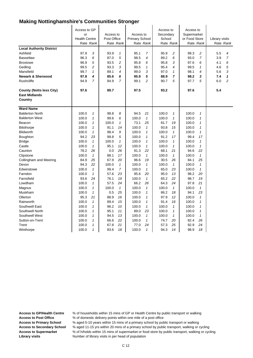| <b>Local Authority District</b><br>Ashfield<br>Bassetlaw<br><b>Broxtowe</b> | Access to GP<br>or<br><b>Health Centre</b><br>Rate Rank<br>97.9<br>96.3<br>96.9 | 3<br>6<br>5    | Access to<br>Post Office<br>93.9<br>87.0<br>93.5 | Rate Rank<br>$\mathbf{1}$<br>5<br>2 | Access to<br><b>Primary School</b><br>95.1<br>98.5<br>95.8 | Rate Rank<br>7<br>4<br>6 | Access to<br>Secondary<br>School<br>Rate Rank<br>95.9<br>89.2<br>95.8 | 2<br>6<br>3    | Access to<br>Supermarket<br>or Food Store<br>Rate Rank<br>99.3<br>93.0<br>97.6 | 2<br>7<br>6  | Library visits<br>5.5<br>3.9<br>4.1 | Rate Rank<br>4<br>$\overline{7}$<br>6 |
|-----------------------------------------------------------------------------|---------------------------------------------------------------------------------|----------------|--------------------------------------------------|-------------------------------------|------------------------------------------------------------|--------------------------|-----------------------------------------------------------------------|----------------|--------------------------------------------------------------------------------|--------------|-------------------------------------|---------------------------------------|
| Gedling                                                                     | 99.5                                                                            | $\overline{c}$ | 93.3                                             | 3                                   | 99.5                                                       | $\mathbf{1}$             | 95.4                                                                  | $\overline{4}$ | 99.5                                                                           | 1            | 4.6                                 | 5                                     |
| Mansfield                                                                   | 99.7                                                                            | $\mathbf{1}$   | 89.1                                             | 4                                   | 99.0                                                       | 3                        | 97.0                                                                  | 1              | 98.1                                                                           | 4            | 5.6                                 | 3                                     |
| <b>Newark &amp; Sherwood</b>                                                | 97.8                                                                            | 4              | 85.6                                             | 6                                   | 95.9                                                       | 5                        | 88.9                                                                  | $\overline{7}$ | 98.2                                                                           | 3            | 7.4                                 | 1                                     |
| Rushcliffe                                                                  | 94.9                                                                            | $\overline{7}$ | 84.9                                             | $\overline{7}$                      | 99.1                                                       | $\overline{a}$           | 90.7                                                                  | 5              | 97.7                                                                           | 5            | 6.0                                 | $\overline{2}$                        |
| <b>County (Notts less City)</b><br><b>East Midlands</b><br>Country          | 97.6                                                                            |                | 89.7                                             |                                     | 97.5                                                       |                          | 93.2                                                                  |                | 97.6                                                                           |              | 5.4                                 |                                       |
| <b>Ward Name</b>                                                            |                                                                                 |                |                                                  |                                     |                                                            |                          |                                                                       |                |                                                                                |              |                                     |                                       |
| <b>Balderton North</b>                                                      | 100.0                                                                           | 1              | 98.8                                             | 8                                   | 94.5                                                       | 21                       | 100.0                                                                 | 1              | 100.0                                                                          | 1            |                                     |                                       |
| <b>Balderton West</b>                                                       | 100.0                                                                           | $\mathbf{1}$   | 99.6                                             | 6                                   | 100.0                                                      | $\mathbf{1}$             | 100.0                                                                 | $\mathbf{1}$   | 100.0                                                                          | $\mathbf{1}$ |                                     |                                       |
| Beacon                                                                      | 100.0                                                                           | 1              | 100.0                                            | $\mathbf{1}$                        | 73.1                                                       | 25                       | 81.7                                                                  | 19             | 100.0                                                                          | 1            |                                     |                                       |
| <b>Bilsthorpe</b>                                                           | 100.0                                                                           | $\mathbf{1}$   | 91.1                                             | 14                                  | 100.0                                                      | $\mathbf{1}$             | 93.8                                                                  | 15             | 100.0                                                                          | 1            |                                     |                                       |
| <b>Blidworth</b>                                                            | 100.0                                                                           | $\mathbf{1}$   | 98.4                                             | 9                                   | 100.0                                                      | $\mathbf{1}$             | 100.0                                                                 | $\mathbf{1}$   | 100.0                                                                          | $\mathbf{1}$ |                                     |                                       |
| Boughton                                                                    | 94.2                                                                            | 23             | 99.8                                             | 5                                   | 100.0                                                      | $\mathbf{1}$             | 91.2                                                                  | 17             | 99.4                                                                           | 17           |                                     |                                       |
| <b>Bridge</b>                                                               | 100.0                                                                           | $\mathbf{1}$   | 100.0                                            | $\mathbf{1}$                        | 100.0                                                      | $\mathbf{1}$             | 100.0                                                                 | $\mathbf{1}$   | 100.0                                                                          | $\mathbf{1}$ |                                     |                                       |
| Castle                                                                      | 100.0                                                                           | $\mathbf{1}$   | 95.1                                             | 12                                  | 100.0                                                      | $\mathbf{1}$             | 100.0                                                                 | $\mathbf{1}$   | 100.0                                                                          | 1            |                                     |                                       |
| Caunton                                                                     | 78.2                                                                            | 26             | 0.0                                              | 26                                  | 91.3                                                       | 22                       | 68.1                                                                  | 21             | 94.6                                                                           | 22           |                                     |                                       |
| Clipstone                                                                   | 100.0                                                                           | $\mathbf{1}$   | 88.1                                             | 17                                  | 100.0                                                      | $\mathbf{1}$             | 100.0                                                                 | $\mathcal I$   | 100.0                                                                          | $\mathbf{1}$ |                                     |                                       |
| Collingham and Meering                                                      | 84.9                                                                            | 25             | 67.9                                             | 20                                  | 96.6                                                       | 19                       | 30.5                                                                  | 26             | 84.1                                                                           | 25           |                                     |                                       |
| Devon                                                                       | 94.3                                                                            | 22             | 100.0                                            | $\mathbf{1}$                        | 100.0                                                      | $\mathbf{1}$             | 100.0                                                                 | $\mathbf{1}$   | 100.0                                                                          | $\mathbf{1}$ |                                     |                                       |
| Edwinstowe                                                                  | 100.0                                                                           | $\mathbf{1}$   | 99.4                                             | $\overline{7}$                      | 100.0                                                      | $\mathbf{1}$             | 65.0                                                                  | 23             | 100.0                                                                          | $\mathbf{1}$ |                                     |                                       |
| Farndon                                                                     | 100.0                                                                           | $\mathbf{1}$   | 57.6                                             | 23                                  | 95.6                                                       | 20                       | 95.0                                                                  | 13             | 98.2                                                                           | 20           |                                     |                                       |
| Farnsfield                                                                  | 93.6                                                                            | 24             | 76.1                                             | 19                                  | 100.0                                                      | $\mathbf{1}$             | 65.2                                                                  | 22             | 98.7                                                                           | 19           |                                     |                                       |
| Lowdham                                                                     | 100.0                                                                           | $\mathbf{1}$   | 57.5                                             | 24                                  | 66.2                                                       | 26                       | 64.3                                                                  | 24             | 97.8                                                                           | 21           |                                     |                                       |
| Magnus                                                                      | 100.0                                                                           | $\mathbf{1}$   | 100.0                                            | $\mathbf{1}$                        | 100.0                                                      | $\mathbf{1}$             | 100.0                                                                 | $\mathbf{1}$   | 100.0                                                                          | $\mathbf{1}$ |                                     |                                       |
| Muskham                                                                     | 100.0                                                                           | 1              | 0.5                                              | 25                                  | 100.0                                                      | $\mathbf{1}$             | 86.2                                                                  | 18             | 94.1                                                                           | 23           |                                     |                                       |
| Ollerton                                                                    | 95.3                                                                            | 21             | 88.9                                             | 16                                  | 100.0                                                      | $\mathbf{1}$             | 97.9                                                                  | 12             | 100.0                                                                          | $\mathbf{1}$ |                                     |                                       |
| Rainworth                                                                   | 100.0                                                                           | $\mathbf{1}$   | 89.4                                             | 15                                  | 100.0                                                      | $\mathbf{1}$             | 91.4                                                                  | 16             | 100.0                                                                          | $\mathbf{1}$ |                                     |                                       |
| Southwell East                                                              | 100.0                                                                           | $\mathbf{1}$   | 96.2                                             | 10                                  | 100.0                                                      | $\mathbf{1}$             | 100.0                                                                 | $\mathbf{1}$   | 100.0                                                                          | $\mathbf{1}$ |                                     |                                       |
| Southwell North                                                             | 100.0                                                                           | $\mathbf{1}$   | 95.1                                             | 11                                  | 89.0                                                       | 23                       | 100.0                                                                 | $\mathbf{1}$   | 100.0                                                                          | $\mathbf{1}$ |                                     |                                       |
| Southwell West                                                              | 100.0                                                                           | $\mathbf{1}$   | 94.5                                             | 13                                  | 100.0                                                      | $\mathbf{1}$             | 100.0                                                                 | $\mathbf{1}$   | 100.0                                                                          | 1            |                                     |                                       |
| Sutton-on-Trent                                                             | 100.0                                                                           | $\mathbf{1}$   | 66.6                                             | 22                                  | 100.0                                                      | $\mathbf{1}$             | 74.7                                                                  | 20             | 82.4                                                                           | 26           |                                     |                                       |
| Trent                                                                       | 100.0                                                                           | 1              | 67.8                                             | 21                                  | 77.0                                                       | 24                       | 57.3                                                                  | 25             | 92.9                                                                           | 24           |                                     |                                       |
| Winthorpe                                                                   | 100.0                                                                           | $\mathbf{1}$   | 83.6                                             | 18                                  | 100.0                                                      | $\mathbf{1}$             | 94.3                                                                  | 14             | 98.9                                                                           | 18           |                                     |                                       |

**Access to GP/Health Centre** % of households within 15 mins of GP or Health Centre by public transport or walking

Access to Post Office % of domestic delivery points within one mile of a post office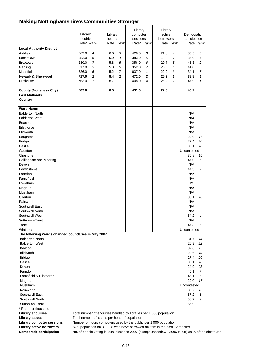| <b>Local Authority District</b><br>Ashfield<br><b>Bassetlaw</b><br><b>Broxtowe</b><br>Gedling<br>Mansfield<br><b>Newark &amp; Sherwood</b><br>Rushcliffe<br><b>County (Notts less City)</b><br><b>East Midlands</b><br>Country                                                                                                                                                                                           | Library<br>enquiries<br>Rate* Rank<br>563.0<br>4<br>282.0<br>6<br>7<br>280.0<br>617.0<br>3<br>5<br>326.0<br>$\mathbf{z}$<br>717.0<br>763.0<br>$\mathbf{1}$<br>509.0 | Library<br>issues<br>Rate Rank<br>3<br>6.0<br>5.9<br>4<br>5.8<br>5<br>5<br>5.8<br>$\overline{7}$<br>5.2<br>8.4<br>$\overline{2}$<br>8.7<br>$\mathbf{1}$<br>6.5 | Library<br>computer<br>sessions<br>Rate* Rank<br>3<br>428.0<br>383.0<br>5<br>356.0<br>6<br>7<br>352.0<br>637.0<br>$\mathcal I$<br>$\mathbf{z}$<br>472.0<br>408.0<br>4<br>431.0 | Library<br>active<br>borrowers<br>Rate Rank<br>21.8<br>4<br>19.8<br>7<br>20.7<br>5<br>20.0<br>6<br>22.2<br>3<br>25.2<br>$\overline{2}$<br>26.2<br>1<br>22.6 | Democratic<br>participation<br>Rate Rank<br>35.5<br>5<br>35.0<br>6<br>45.3<br>2<br>3<br>41.0<br>34.1<br>7<br>38.8<br>4<br>$\mathbf{1}$<br>47.9<br>40.2                                                                                                        |
|--------------------------------------------------------------------------------------------------------------------------------------------------------------------------------------------------------------------------------------------------------------------------------------------------------------------------------------------------------------------------------------------------------------------------|---------------------------------------------------------------------------------------------------------------------------------------------------------------------|----------------------------------------------------------------------------------------------------------------------------------------------------------------|--------------------------------------------------------------------------------------------------------------------------------------------------------------------------------|-------------------------------------------------------------------------------------------------------------------------------------------------------------|---------------------------------------------------------------------------------------------------------------------------------------------------------------------------------------------------------------------------------------------------------------|
| <b>Ward Name</b><br><b>Balderton North</b><br><b>Balderton West</b><br>Beacon<br><b>Bilsthorpe</b><br><b>Blidworth</b><br>Boughton<br><b>Bridge</b><br>Castle<br>Caunton<br>Clipstone<br>Collingham and Meering<br>Devon<br>Edwinstowe<br>Farndon<br>Farnsfield<br>Lowdham<br>Magnus<br>Muskham<br>Ollerton<br>Rainworth<br>Southwell East<br>Southwell North<br>Southwell West<br>Sutton-on-Trent<br>Trent<br>Winthorpe |                                                                                                                                                                     |                                                                                                                                                                |                                                                                                                                                                                |                                                                                                                                                             | N/A<br>N/A<br>N/A<br>N/A<br>N/A<br>29.0<br>17<br>27.4<br>20<br>36.1<br>10<br>Uncontested<br>30.8<br>15<br>47.0<br>6<br>N/A<br>44.3<br>9<br>N/A<br>N/A<br>U/C<br>N/A<br>N/A<br>30.1<br>16<br>N/A<br>N/A<br>N/A<br>54.2<br>4<br>N/A<br>47.8<br>5<br>Uncontested |
| The following Wards changed boundaries in May 2007<br><b>Balderton North</b><br><b>Balderton West</b><br>Beacon<br>Blidworth<br><b>Bridge</b><br>Castle<br>Devon<br>Farndon<br>Farnsfield & Bilsthorpe<br>Magnus<br>Muskham<br>Rainworth<br>Southwell East<br>Southwell North<br>Sutton-on-Trent<br>* Rate per thousand<br><b>Library enquiries</b><br><b>Library issues</b><br><b>Library computer sessions</b>         | Total number of issues per head of population                                                                                                                       |                                                                                                                                                                | Total number of enquiries handled by libraries per 1,000 population<br>Number of hours computers used by the public per 1,000 population                                       |                                                                                                                                                             | 31.7<br>14<br>26.9<br>22<br>32.6<br>13<br>28.6<br>19<br>27.4<br>20<br>36.1<br>10<br>24.9<br>23<br>45.1<br>7<br>45.1<br>7<br>17<br>29.0<br>Uncontested<br>32.7<br>12<br>57.2<br>1<br>56.7<br>3<br>56.9<br>2                                                    |

Library active borrowers  $\%$  of population on 31/3/08 who have borrowed an item in the past 12 months

**Democratic participation** No. of people voting in local elections 2007 (except Bassetlaw - 2006 to '08) as % of the electorate

 $\ddot{\phantom{a}}$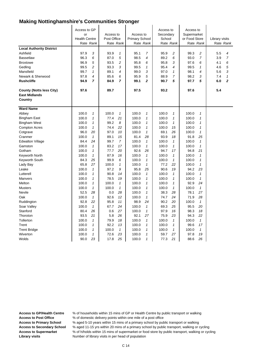| <b>Local Authority District</b><br>Ashfield<br><b>Bassetlaw</b><br><b>Broxtowe</b><br>Gedling<br>Mansfield<br>Newark & Sherwood<br><b>Rushcliffe</b> | Access to GP<br>or<br><b>Health Centre</b><br>Rate Rank<br>97.9<br>96.3<br>96.9<br>99.5<br>99.7<br>97.8<br>94.9 | 3<br>6<br>5<br>$\overline{c}$<br>$\mathbf{1}$<br>4<br>7 | Access to<br>Post Office<br>Rate Rank<br>93.9<br>87.0<br>93.5<br>93.3<br>89.1<br>85.6<br>84.9 | 1<br>5<br>$\overline{c}$<br>3<br>4<br>6<br>$\overline{7}$ | Access to<br><b>Primary School</b><br>Rate Rank<br>95.1<br>98.5<br>95.8<br>99.5<br>99.0<br>95.9<br>99.1 | 7<br>4<br>6<br>$\mathbf{1}$<br>3<br>5<br>$\overline{2}$ | Access to<br>Secondary<br>School<br>Rate Rank<br>95.9<br>89.2<br>95.8<br>95.4<br>97.0<br>88.9<br>90.7 | $\overline{c}$<br>6<br>3<br>4<br>$\mathbf{1}$<br>7<br>5 | Access to<br>Supermarket<br>or Food Store<br>Rate Rank<br>99.3<br>93.0<br>97.6<br>99.5<br>98.1<br>98.2<br>97.7 | 2<br>$\overline{7}$<br>6<br>1<br>4<br>3<br>5 | Library visits<br>5.5<br>3.9<br>4.1<br>4.6<br>5.6<br>7.4<br>6.0 | Rate Rank<br>4<br>$\overline{7}$<br>6<br>5<br>3<br>$\mathbf{1}$<br>$\overline{2}$ |
|------------------------------------------------------------------------------------------------------------------------------------------------------|-----------------------------------------------------------------------------------------------------------------|---------------------------------------------------------|-----------------------------------------------------------------------------------------------|-----------------------------------------------------------|---------------------------------------------------------------------------------------------------------|---------------------------------------------------------|-------------------------------------------------------------------------------------------------------|---------------------------------------------------------|----------------------------------------------------------------------------------------------------------------|----------------------------------------------|-----------------------------------------------------------------|-----------------------------------------------------------------------------------|
| <b>County (Notts less City)</b><br><b>East Midlands</b><br>Country                                                                                   | 97.6                                                                                                            |                                                         | 89.7                                                                                          |                                                           | 97.5                                                                                                    |                                                         | 93.2                                                                                                  |                                                         | 97.6                                                                                                           |                                              | 5.4                                                             |                                                                                   |
| <b>Ward Name</b>                                                                                                                                     |                                                                                                                 |                                                         |                                                                                               |                                                           |                                                                                                         |                                                         |                                                                                                       |                                                         |                                                                                                                |                                              |                                                                 |                                                                                   |
| Abbey                                                                                                                                                | 100.0                                                                                                           | 1                                                       | 100.0                                                                                         | 1                                                         | 100.0                                                                                                   | 1                                                       | 100.0                                                                                                 | 1                                                       | 100.0                                                                                                          | 1                                            |                                                                 |                                                                                   |
| <b>Bingham East</b>                                                                                                                                  | 100.0                                                                                                           | $\mathbf{1}$                                            | 77.4                                                                                          | 21                                                        | 100.0                                                                                                   | $\mathbf{1}$                                            | 100.0                                                                                                 | $\mathbf{1}$                                            | 100.0                                                                                                          | $\mathbf{1}$                                 |                                                                 |                                                                                   |
| <b>Bingham West</b>                                                                                                                                  | 100.0                                                                                                           | 1                                                       | 99.2                                                                                          | 8                                                         | 100.0                                                                                                   | 1                                                       | 100.0                                                                                                 | 1                                                       | 100.0                                                                                                          | 1                                            |                                                                 |                                                                                   |
| <b>Compton Acres</b>                                                                                                                                 | 100.0                                                                                                           | $\mathbf{1}$                                            | 74.4                                                                                          | 22                                                        | 100.0                                                                                                   | $\mathbf{1}$                                            | 100.0                                                                                                 | 15                                                      | 100.0                                                                                                          | $\mathbf{1}$                                 |                                                                 |                                                                                   |
| Cotgrave                                                                                                                                             | 96.0                                                                                                            | 20                                                      | 97.0                                                                                          | 10                                                        | 100.0                                                                                                   | $\mathbf{1}$                                            | 69.1                                                                                                  | 26                                                      | 100.0                                                                                                          | $\mathbf{1}$                                 |                                                                 |                                                                                   |
| Cranmer                                                                                                                                              | 100.0                                                                                                           | $\mathbf{1}$                                            | 89.1                                                                                          | 15                                                        | 81.4                                                                                                    | 28                                                      | 93.9                                                                                                  | 18                                                      | 91.8                                                                                                           | 25                                           |                                                                 |                                                                                   |
| <b>Edwalton Village</b>                                                                                                                              | 84.4                                                                                                            | 24                                                      | 99.7                                                                                          | $\overline{7}$                                            | 100.0                                                                                                   | $\mathbf{1}$                                            | 100.0                                                                                                 | $\mathbf{1}$                                            | 100.0                                                                                                          | $\mathbf{1}$                                 |                                                                 |                                                                                   |
| Gamston                                                                                                                                              | 100.0                                                                                                           | $\mathbf{1}$                                            | 83.2                                                                                          | 17                                                        | 100.0                                                                                                   | $\mathbf{1}$                                            | 100.0                                                                                                 | 1                                                       | 100.0                                                                                                          | 1                                            |                                                                 |                                                                                   |
| Gotham                                                                                                                                               | 100.0                                                                                                           | $\mathbf{1}$                                            | 77.7                                                                                          | 20                                                        | 92.6                                                                                                    | 26                                                      | 94.7                                                                                                  | 17                                                      | 94.8                                                                                                           | 21                                           |                                                                 |                                                                                   |
| Keyworth North                                                                                                                                       | 100.0                                                                                                           | $\mathbf{1}$                                            | 87.9                                                                                          | 16                                                        | 100.0                                                                                                   | $\mathbf{1}$                                            | 100.0                                                                                                 | $\mathbf{1}$                                            | 100.0                                                                                                          | $\mathbf{1}$                                 |                                                                 |                                                                                   |
| Keyworth South                                                                                                                                       | 84.3                                                                                                            | 25                                                      | 99.9                                                                                          | 6                                                         | 100.0                                                                                                   | $\mathbf{1}$                                            | 100.0                                                                                                 | $\mathbf{1}$                                            | 100.0                                                                                                          | 1                                            |                                                                 |                                                                                   |
| Lady Bay                                                                                                                                             | 65.8                                                                                                            | 27                                                      | 100.0                                                                                         | $\mathbf{1}$                                              | 100.0                                                                                                   | $\mathbf{1}$                                            | 77.2                                                                                                  | 22                                                      | 100.0                                                                                                          | $\mathbf{1}$                                 |                                                                 |                                                                                   |
| Leake                                                                                                                                                | 100.0                                                                                                           | $\mathbf{1}$                                            | 97.2                                                                                          | 9                                                         | 95.8                                                                                                    | 25                                                      | 90.6                                                                                                  | 19                                                      | 94.2                                                                                                           | 23                                           |                                                                 |                                                                                   |
| Lutterell                                                                                                                                            | 100.0                                                                                                           | $\mathbf{1}$                                            | 90.8                                                                                          | 14                                                        | 100.0                                                                                                   | $\mathbf{1}$                                            | 100.0                                                                                                 | $\mathbf{1}$                                            | 100.0                                                                                                          | 1                                            |                                                                 |                                                                                   |
| Manvers                                                                                                                                              | 100.0                                                                                                           | 1                                                       | 78.5                                                                                          | 19                                                        | 100.0                                                                                                   | $\mathbf{1}$                                            | 100.0                                                                                                 | 1                                                       | 100.0                                                                                                          | 1                                            |                                                                 |                                                                                   |
| Melton                                                                                                                                               | 100.0                                                                                                           | $\mathbf{1}$                                            | 100.0                                                                                         | $\mathbf{1}$                                              | 100.0                                                                                                   | $\mathbf{1}$                                            | 100.0                                                                                                 | 1                                                       | 92.9                                                                                                           | 24                                           |                                                                 |                                                                                   |
| <b>Musters</b>                                                                                                                                       | 100.0                                                                                                           | $\mathbf{1}$                                            | 100.0                                                                                         | $\mathbf{1}$                                              | 100.0                                                                                                   | $\mathbf{1}$                                            | 100.0                                                                                                 | $\mathbf{1}$                                            | 100.0                                                                                                          | $\mathbf{1}$                                 |                                                                 |                                                                                   |
| Nevile                                                                                                                                               | 52.5                                                                                                            | 28                                                      | 0.0                                                                                           | 28                                                        | 100.0                                                                                                   | $\mathbf{1}$                                            | 38.3                                                                                                  | 28                                                      | 78.1                                                                                                           | 27                                           |                                                                 |                                                                                   |
| Oak                                                                                                                                                  | 100.0                                                                                                           | $\mathbf{1}$                                            | 92.6                                                                                          | 12                                                        | 100.0                                                                                                   | $\mathbf{1}$                                            | 74.7                                                                                                  | 24                                                      | 71.9                                                                                                           | 28                                           |                                                                 |                                                                                   |
| Ruddington                                                                                                                                           | 92.8                                                                                                            | 22                                                      | 95.8                                                                                          | 11                                                        | 98.9                                                                                                    | 24                                                      | 90.2                                                                                                  | 20                                                      | 100.0                                                                                                          | $\mathbf{1}$                                 |                                                                 |                                                                                   |
| Soar Valley                                                                                                                                          | 100.0                                                                                                           | $\mathbf{1}$                                            | 67.7                                                                                          | 24                                                        | 100.0                                                                                                   | $\mathbf{1}$                                            | 69.3                                                                                                  | 25                                                      | 95.5                                                                                                           | 20                                           |                                                                 |                                                                                   |
| Stanford                                                                                                                                             | 80.4                                                                                                            | 26                                                      | 0.6                                                                                           | 27                                                        | 100.0                                                                                                   | $\mathbf{1}$                                            | 97.9                                                                                                  | 16                                                      | 98.3                                                                                                           | 18                                           |                                                                 |                                                                                   |
| Thoroton                                                                                                                                             | 93.5                                                                                                            | 21                                                      | 5.8                                                                                           | 26                                                        | 92.1                                                                                                    | 27                                                      | 75.9                                                                                                  | 23                                                      | 94.3                                                                                                           | 22                                           |                                                                 |                                                                                   |
| Tollerton                                                                                                                                            | 100.0                                                                                                           | $\mathbf{1}$                                            | 79.9                                                                                          | 18                                                        | 100.0                                                                                                   | $\mathbf{1}$                                            | 100.0                                                                                                 | $\mathbf{1}$                                            | 100.0                                                                                                          | $\mathbf{1}$                                 |                                                                 |                                                                                   |
| Trent                                                                                                                                                | 100.0                                                                                                           | 1                                                       | 92.2                                                                                          | 13                                                        | 100.0                                                                                                   | $\mathbf{1}$                                            | 100.0                                                                                                 | $\mathbf 1$                                             | 99.6                                                                                                           | 17                                           |                                                                 |                                                                                   |
| <b>Trent Bridge</b>                                                                                                                                  | 100.0                                                                                                           | 1                                                       | 100.0                                                                                         | $\mathbf{1}$                                              | 100.0                                                                                                   | $\mathbf{1}$                                            | 100.0                                                                                                 | 1                                                       | 100.0                                                                                                          | $\mathbf{1}$                                 |                                                                 |                                                                                   |
| Wiverton                                                                                                                                             | 100.0                                                                                                           | $\mathbf{1}$                                            | 72.6                                                                                          | 23                                                        | 100.0                                                                                                   | $\mathbf{1}$                                            | 59.7                                                                                                  | 27                                                      | 97.8                                                                                                           | 19                                           |                                                                 |                                                                                   |
| Wolds                                                                                                                                                | 90.0                                                                                                            | 23                                                      | 17.8                                                                                          | 25                                                        | 100.0                                                                                                   | $\mathbf{1}$                                            | 77.3                                                                                                  | 21                                                      | 88.6                                                                                                           | 26                                           |                                                                 |                                                                                   |

**Access to GP/Health Centre** % of households within 15 mins of GP or Health Centre by public transport or walking

Access to Post Office % of domestic delivery points within one mile of a post office

**Access to Primary School** % aged 5-10 years within 15 mins of a primary school by public transport or walking

**Access to Secondary School** % aged 11-15 yrs within 20 mins of a primary school by public transport, walking or cycling **Access to Supermarket** % of h/holds within 15 mins of supermarket or food store by public transport, walking or cycling **Library visits** Number of library visits in per head of population